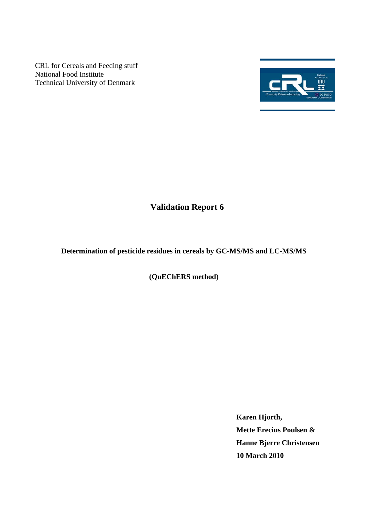CRL for Cereals and Feeding stuff National Food Institute Technical University of Denmark



# **Validation Report 6**

**Determination of pesticide residues in cereals by GC-MS/MS and LC-MS/MS** 

**(QuEChERS method)** 

**Karen Hjorth, Mette Erecius Poulsen & Hanne Bjerre Christensen 10 March 2010**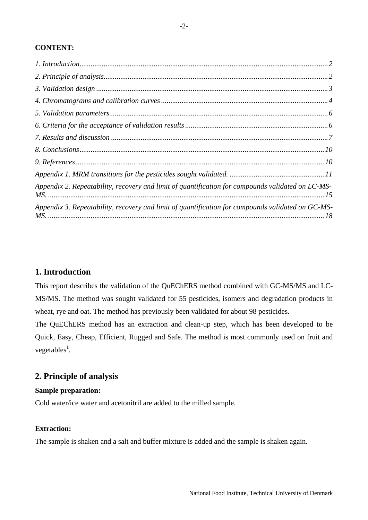## <span id="page-1-0"></span>**CONTENT:**

| Appendix 2. Repeatability, recovery and limit of quantification for compounds validated on LC-MS- |  |
|---------------------------------------------------------------------------------------------------|--|
| Appendix 3. Repeatability, recovery and limit of quantification for compounds validated on GC-MS- |  |

# <span id="page-1-1"></span>**1. Introduction**

This report describes the validation of the QuEChERS method combined with GC-MS/MS and LC-MS/MS. The method was sought validated for 55 pesticides, isomers and degradation products in wheat, rye and oat. The method has previously been validated for about 98 pesticides.

The QuEChERS method has an extraction and clean-up step, which has been developed to be Quick, Easy, Cheap, Efficient, Rugged and Safe. The method is most commonly used on fruit and vegetables<sup>1</sup>.

# <span id="page-1-2"></span>**2. Principle of analysis**

### **Sample preparation:**

Cold water/ice water and acetonitril are added to the milled sample.

## **Extraction:**

The sample is shaken and a salt and buffer mixture is added and the sample is shaken again.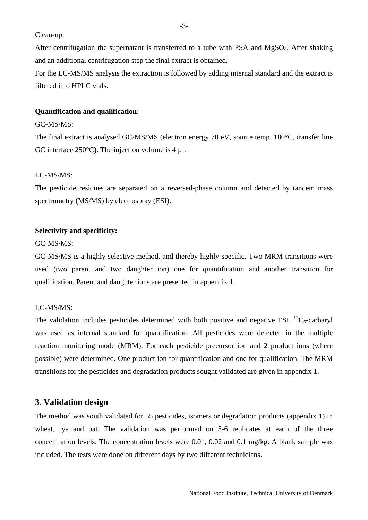<span id="page-2-0"></span>Clean-up:

After centrifugation the supernatant is transferred to a tube with PSA and  $MgSO<sub>4</sub>$ . After shaking and an additional centrifugation step the final extract is obtained.

For the LC-MS/MS analysis the extraction is followed by adding internal standard and the extract is filtered into HPLC vials.

## **Quantification and qualification**:

#### GC-MS/MS:

The final extract is analysed GC/MS/MS (electron energy 70 eV, source temp. 180°C, transfer line GC interface  $250^{\circ}$ C). The injection volume is 4 µl.

#### LC-MS/MS:

The pesticide residues are separated on a reversed-phase column and detected by tandem mass spectrometry (MS/MS) by electrospray (ESI).

### **Selectivity and specificity:**

#### GC-MS/MS:

GC-MS/MS is a highly selective method, and thereby highly specific. Two MRM transitions were used (two parent and two daughter ion) one for quantification and another transition for qualification. Parent and daughter ions are presented in appendix 1.

## LC-MS/MS:

The validation includes pesticides determined with both positive and negative ESI.  ${}^{13}C_6$ -carbaryl was used as internal standard for quantification. All pesticides were detected in the multiple reaction monitoring mode (MRM). For each pesticide precursor ion and 2 product ions (where possible) were determined. One product ion for quantification and one for qualification. The MRM transitions for the pesticides and degradation products sought validated are given in appendix 1.

## <span id="page-2-1"></span>**3. Validation design**

The method was south validated for 55 pesticides, isomers or degradation products (appendix 1) in wheat, rye and oat. The validation was performed on 5-6 replicates at each of the three concentration levels. The concentration levels were 0.01, 0.02 and 0.1 mg/kg. A blank sample was included. The tests were done on different days by two different technicians.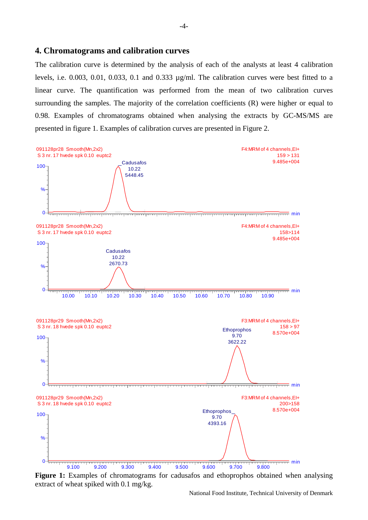#### <span id="page-3-1"></span><span id="page-3-0"></span>**4. Chromatograms and calibration curves**

The calibration curve is determined by the analysis of each of the analysts at least 4 calibration levels, i.e. 0.003, 0.01, 0.033, 0.1 and 0.333 µg/ml. The calibration curves were best fitted to a linear curve. The quantification was performed from the mean of two calibration curves surrounding the samples. The majority of the correlation coefficients (R) were higher or equal to 0.98. Examples of chromatograms obtained when analysing the extracts by GC-MS/MS are presented in figure 1. Examples of calibration curves are presented in Figure 2.



**Figure 1:** Examples of chromatograms for cadusafos and ethoprophos obtained when analysing extract of wheat spiked with 0.1 mg/kg.

National Food Institute, Technical University of Denmark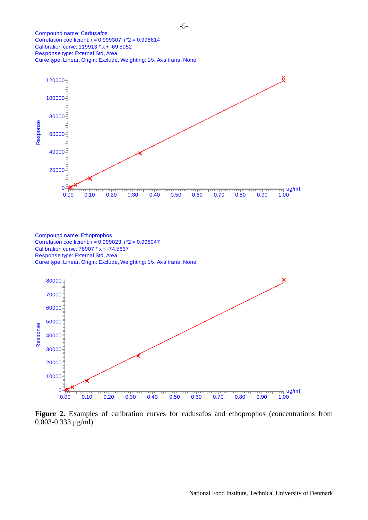Compound name: Cadusafos Correlation coefficient:  $r = 0.999307$ ,  $r^2 = 0.998614$ Calibration curve: 119913 \* x + -69.5052 Response type: External Std, Area Curve type: Linear, Origin: Exclude, Weighting: 1/x, Axis trans: None



Compound name: Ethoprophos Correlation coefficient:  $r = 0.999023$ ,  $r^2 = 0.998047$ Calibration curve: 78907 \* x + -74.5637 Response type: External Std, Area Curve type: Linear, Origin: Exclude, Weighting: 1/x, Axis trans: None



**Figure 2.** Examples of calibration curves for cadusafos and ethoprophos (concentrations from 0.003-0.333 µg/ml)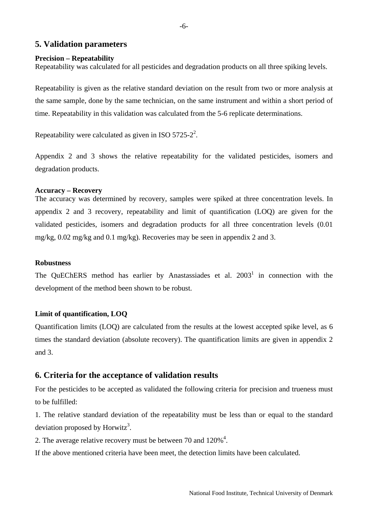## <span id="page-5-1"></span><span id="page-5-0"></span>**5. Validation parameters**

#### **Precision – Repeatability**

Repeatability was calculated for all pesticides and degradation products on all three spiking levels.

Repeatability is given as the relative standard deviation on the result from two or more analysis at the same sample, done by the same technician, on the same instrument and within a short period of time. Repeatability in this validation was calculated from the 5-6 replicate determinations.

Repeatability were calculated as given in ISO 5725-2<sup>2</sup>.

Appendix 2 and 3 shows the relative repeatability for the validated pesticides, isomers and degradation products.

#### **Accuracy – Recovery**

The accuracy was determined by recovery, samples were spiked at three concentration levels. In appendix 2 and 3 recovery, repeatability and limit of quantification (LOQ) are given for the validated pesticides, isomers and degradation products for all three concentration levels (0.01 mg/kg, 0.02 mg/kg and 0.1 mg/kg). Recoveries may be seen in appendix 2 and 3.

#### **Robustness**

The QuEChERS method has earlier by Anastassiades et al.  $2003<sup>1</sup>$  in connection with the development of the method been shown to be robust.

#### **Limit of quantification, LOQ**

Quantification limits (LOQ) are calculated from the results at the lowest accepted spike level, as 6 times the standard deviation (absolute recovery). The quantification limits are given in appendix 2 and 3.

## <span id="page-5-2"></span>**6. Criteria for the acceptance of validation results**

For the pesticides to be accepted as validated the following criteria for precision and trueness must to be fulfilled:

1. The relative standard deviation of the repeatability must be less than or equal to the standard deviation proposed by Horwitz<sup>3</sup>.

2. The average relative recovery must be between 70 and  $120\%$ <sup>4</sup>.

If the above mentioned criteria have been meet, the detection limits have been calculated.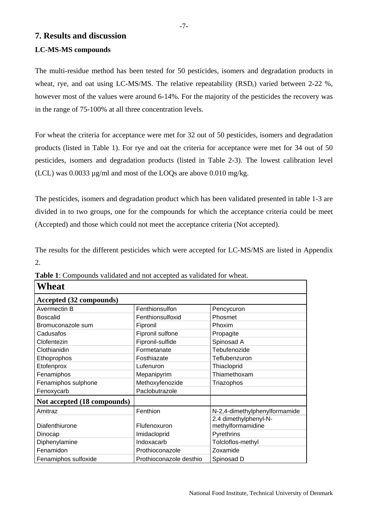# <span id="page-6-1"></span><span id="page-6-0"></span>**7. Results and discussion**

# **LC-MS-MS compounds**

The multi-residue method has been tested for 50 pesticides, isomers and degradation products in wheat, rye, and oat using LC-MS/MS. The relative repeatability  $(RSD<sub>r</sub>)$  varied between 2-22 %, however most of the values were around 6-14%. For the majority of the pesticides the recovery was in the range of 75-100% at all three concentration levels.

For wheat the criteria for acceptance were met for 32 out of 50 pesticides, isomers and degradation products (listed in Table 1). For rye and oat the criteria for acceptance were met for 34 out of 50 pesticides, isomers and degradation products (listed in Table 2-3). The lowest calibration level (LCL) was 0.0033 µg/ml and most of the LOQs are above 0.010 mg/kg.

The pesticides, isomers and degradation product which has been validated presented in table 1-3 are divided in to two groups, one for the compounds for which the acceptance criteria could be meet (Accepted) and those which could not meet the acceptance criteria (Not accepted).

The results for the different pesticides which were accepted for LC-MS/MS are listed in Appendix 2.

| Wheat                       |                         |                               |  |  |  |  |  |
|-----------------------------|-------------------------|-------------------------------|--|--|--|--|--|
| Accepted (32 compounds)     |                         |                               |  |  |  |  |  |
| Avermectin B                | Fenthionsulfon          | Pencycuron                    |  |  |  |  |  |
| <b>Boscalid</b>             | Fenthionsulfoxid        | Phosmet                       |  |  |  |  |  |
| Bromuconazole sum           | Fipronil                | Phoxim                        |  |  |  |  |  |
| Cadusafos                   | Fipronil sulfone        | Propagite                     |  |  |  |  |  |
| Clofentezin                 | Fipronil-sulfide        | Spinosad A                    |  |  |  |  |  |
| Clothianidin                | Formetanate             | Tebufenozide                  |  |  |  |  |  |
| Ethoprophos                 | Fosthiazate             | Teflubenzuron                 |  |  |  |  |  |
| Etofenprox                  | Lufenuron               | Thiacloprid                   |  |  |  |  |  |
| Fenamiphos                  | Mepanipyrim             | Thiamethoxam                  |  |  |  |  |  |
| Fenamiphos sulphone         | Methoxyfenozide         | Triazophos                    |  |  |  |  |  |
| Fenoxycarb                  | Paclobutrazole          |                               |  |  |  |  |  |
| Not accepted (18 compounds) |                         |                               |  |  |  |  |  |
| Amitraz                     | Fenthion                | N-2,4-dimethylphenylformamide |  |  |  |  |  |
|                             |                         | 2.4 dimethylphenyl-N-         |  |  |  |  |  |
| Diafenthiurone              | Flufenoxuron            | methylformamidine             |  |  |  |  |  |
| Dinocap                     | Imidacloprid            | Pyrethrins                    |  |  |  |  |  |
| Diphenylamine               | Indoxacarb              | Tolcloflos-methyl             |  |  |  |  |  |
| Fenamidon                   | Prothioconazole         | Zoxamide                      |  |  |  |  |  |
| Fenamiphos sulfoxide        | Prothioconazole desthio | Spinosad D                    |  |  |  |  |  |

**Table 1**: Compounds validated and not accepted as validated for wheat.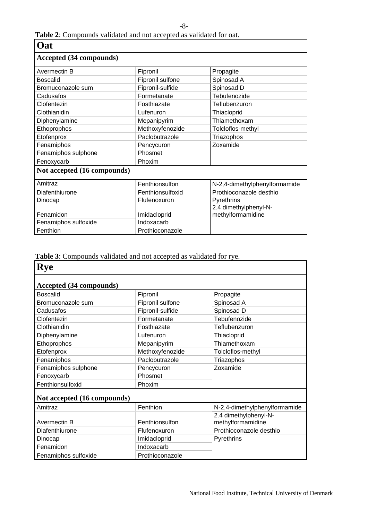# -8-

# **Table 2**: Compounds validated and not accepted as validated for oat.

| Oat                         |                  |                                            |  |  |  |  |  |
|-----------------------------|------------------|--------------------------------------------|--|--|--|--|--|
| Accepted (34 compounds)     |                  |                                            |  |  |  |  |  |
| Avermectin B                | Fipronil         | Propagite                                  |  |  |  |  |  |
| <b>Boscalid</b>             | Fipronil sulfone | Spinosad A                                 |  |  |  |  |  |
| Bromuconazole sum           | Fipronil-sulfide | Spinosad D                                 |  |  |  |  |  |
| Cadusafos                   | Formetanate      | Tebufenozide                               |  |  |  |  |  |
| Clofentezin                 | Fosthiazate      | Teflubenzuron                              |  |  |  |  |  |
| Clothianidin                | Lufenuron        | Thiacloprid                                |  |  |  |  |  |
| Diphenylamine               | Mepanipyrim      | Thiamethoxam                               |  |  |  |  |  |
| Ethoprophos                 | Methoxyfenozide  | Tolcloflos-methyl                          |  |  |  |  |  |
| Etofenprox                  | Paclobutrazole   | Triazophos                                 |  |  |  |  |  |
| Fenamiphos                  | Pencycuron       | Zoxamide                                   |  |  |  |  |  |
| Fenamiphos sulphone         | Phosmet          |                                            |  |  |  |  |  |
| Fenoxycarb                  | Phoxim           |                                            |  |  |  |  |  |
| Not accepted (16 compounds) |                  |                                            |  |  |  |  |  |
| Amitraz                     | Fenthionsulfon   | N-2,4-dimethylphenylformamide              |  |  |  |  |  |
| Diafenthiurone              | Fenthionsulfoxid | Prothioconazole desthio                    |  |  |  |  |  |
| Dinocap                     | Flufenoxuron     | Pyrethrins                                 |  |  |  |  |  |
| Fenamidon                   | Imidacloprid     | 2.4 dimethylphenyl-N-<br>methylformamidine |  |  |  |  |  |
| Fenamiphos sulfoxide        | Indoxacarb       |                                            |  |  |  |  |  |
| Fenthion                    | Prothioconazole  |                                            |  |  |  |  |  |

**Table 3**: Compounds validated and not accepted as validated for rye.

| <b>Rye</b>                  |                  |                               |  |  |  |  |  |  |
|-----------------------------|------------------|-------------------------------|--|--|--|--|--|--|
| Accepted (34 compounds)     |                  |                               |  |  |  |  |  |  |
| <b>Boscalid</b>             | Fipronil         | Propagite                     |  |  |  |  |  |  |
| Bromuconazole sum           | Fipronil sulfone | Spinosad A                    |  |  |  |  |  |  |
| Cadusafos                   | Fipronil-sulfide | Spinosad D                    |  |  |  |  |  |  |
| Clofentezin                 | Formetanate      | Tebufenozide                  |  |  |  |  |  |  |
| Clothianidin                | Fosthiazate      | Teflubenzuron                 |  |  |  |  |  |  |
| Diphenylamine               | Lufenuron        | Thiacloprid                   |  |  |  |  |  |  |
| Ethoprophos                 | Mepanipyrim      | Thiamethoxam                  |  |  |  |  |  |  |
| Etofenprox                  | Methoxyfenozide  | Tolcloflos-methyl             |  |  |  |  |  |  |
| Fenamiphos                  | Paclobutrazole   | Triazophos                    |  |  |  |  |  |  |
| Fenamiphos sulphone         | Pencycuron       | Zoxamide                      |  |  |  |  |  |  |
| Fenoxycarb                  | Phosmet          |                               |  |  |  |  |  |  |
| Fenthionsulfoxid            | Phoxim           |                               |  |  |  |  |  |  |
| Not accepted (16 compounds) |                  |                               |  |  |  |  |  |  |
| Amitraz                     | Fenthion         | N-2,4-dimethylphenylformamide |  |  |  |  |  |  |
|                             |                  | 2.4 dimethylphenyl-N-         |  |  |  |  |  |  |
| Avermectin B                | Fenthionsulfon   | methylformamidine             |  |  |  |  |  |  |
| Diafenthiurone              | Flufenoxuron     | Prothioconazole desthio       |  |  |  |  |  |  |
| Dinocap                     | Imidacloprid     | Pyrethrins                    |  |  |  |  |  |  |
| Fenamidon                   | Indoxacarb       |                               |  |  |  |  |  |  |
| Fenamiphos sulfoxide        | Prothioconazole  |                               |  |  |  |  |  |  |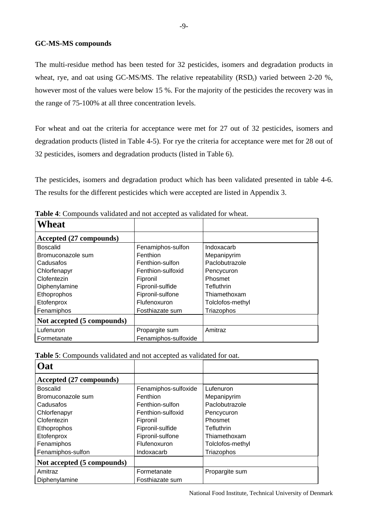### **GC-MS-MS compounds**

The multi-residue method has been tested for 32 pesticides, isomers and degradation products in wheat, rye, and oat using GC-MS/MS. The relative repeatability  $(RSD<sub>r</sub>)$  varied between 2-20 %, however most of the values were below 15 %. For the majority of the pesticides the recovery was in the range of 75-100% at all three concentration levels.

For wheat and oat the criteria for acceptance were met for 27 out of 32 pesticides, isomers and degradation products (listed in Table 4-5). For rye the criteria for acceptance were met for 28 out of 32 pesticides, isomers and degradation products (listed in Table 6).

The pesticides, isomers and degradation product which has been validated presented in table 4-6. The results for the different pesticides which were accepted are listed in Appendix 3.

| Wheat                      |                      |                   |
|----------------------------|----------------------|-------------------|
| Accepted (27 compounds)    |                      |                   |
| <b>Boscalid</b>            | Fenamiphos-sulfon    | Indoxacarb        |
| Bromuconazole sum          | Fenthion             | Mepanipyrim       |
| Cadusafos                  | Fenthion-sulfon      | Paclobutrazole    |
| Chlorfenapyr               | Fenthion-sulfoxid    | Pencycuron        |
| Clofentezin                | Fipronil             | Phosmet           |
| Diphenylamine              | Fipronil-sulfide     | <b>Tefluthrin</b> |
| Ethoprophos                | Fipronil-sulfone     | Thiamethoxam      |
| Etofenprox                 | Flufenoxuron         | Tolclofos-methyl  |
| Fenamiphos                 | Fosthiazate sum      | Triazophos        |
| Not accepted (5 compounds) |                      |                   |
| Lufenuron                  | Propargite sum       | Amitraz           |
| Formetanate                | Fenamiphos-sulfoxide |                   |

**Table 4**: Compounds validated and not accepted as validated for wheat.

|--|

| Oat                        |                      |                   |
|----------------------------|----------------------|-------------------|
| Accepted (27 compounds)    |                      |                   |
| <b>Boscalid</b>            | Fenamiphos-sulfoxide | Lufenuron         |
| Bromuconazole sum          | Fenthion             | Mepanipyrim       |
| Cadusafos                  | Fenthion-sulfon      | Paclobutrazole    |
| Chlorfenapyr               | Fenthion-sulfoxid    | Pencycuron        |
| Clofentezin                | Fipronil             | Phosmet           |
| Ethoprophos                | Fipronil-sulfide     | <b>Tefluthrin</b> |
| Etofenprox                 | Fipronil-sulfone     | Thiamethoxam      |
| Fenamiphos                 | Flufenoxuron         | Tolclofos-methyl  |
| Fenamiphos-sulfon          | Indoxacarb           | Triazophos        |
| Not accepted (5 compounds) |                      |                   |
| Amitraz                    | Formetanate          | Propargite sum    |
| Diphenylamine              | Fosthiazate sum      |                   |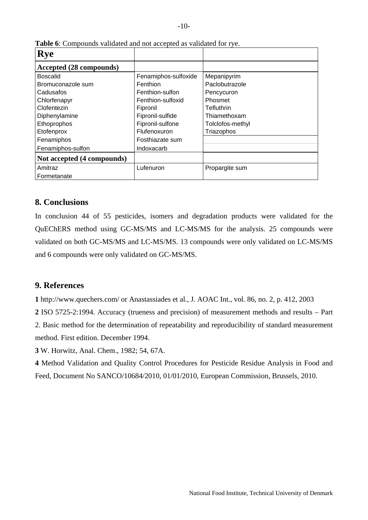| <b>Rye</b>                 |                      |                   |
|----------------------------|----------------------|-------------------|
| Accepted (28 compounds)    |                      |                   |
| <b>Boscalid</b>            | Fenamiphos-sulfoxide | Mepanipyrim       |
| Bromuconazole sum          | Fenthion             | Paclobutrazole    |
| Cadusafos                  | Fenthion-sulfon      | Pencycuron        |
| Chlorfenapyr               | Fenthion-sulfoxid    | <b>Phosmet</b>    |
| Clofentezin                | Fipronil             | <b>Tefluthrin</b> |
| Diphenylamine              | Fipronil-sulfide     | Thiamethoxam      |
| Ethoprophos                | Fipronil-sulfone     | Tolclofos-methyl  |
| Etofenprox                 | Flufenoxuron         | Triazophos        |
| Fenamiphos                 | Fosthiazate sum      |                   |
| Fenamiphos-sulfon          | Indoxacarb           |                   |
| Not accepted (4 compounds) |                      |                   |
| Amitraz                    | Lufenuron            | Propargite sum    |
| Formetanate                |                      |                   |

<span id="page-9-0"></span>**Table 6**: Compounds validated and not accepted as validated for rye.

## <span id="page-9-1"></span>**8. Conclusions**

In conclusion 44 of 55 pesticides, isomers and degradation products were validated for the QuEChERS method using GC-MS/MS and LC-MS/MS for the analysis. 25 compounds were validated on both GC-MS/MS and LC-MS/MS. 13 compounds were only validated on LC-MS/MS and 6 compounds were only validated on GC-MS/MS.

## <span id="page-9-2"></span>**9. References**

**1** http://www.quechers.com/ or Anastassiades et al., J. AOAC Int., vol. 86, no. 2, p. 412, 2003

**2** ISO 5725-2:1994. Accuracy (trueness and precision) of measurement methods and results – Part 2. Basic method for the determination of repeatability and reproducibility of standard measurement method. First edition. December 1994.

**3** W. Horwitz, Anal. Chem., 1982; 54, 67A.

**4** Method Validation and Quality Control Procedures for Pesticide Residue Analysis in Food and Feed, Document No SANCO/10684/2010, 01/01/2010, European Commission, Brussels, 2010.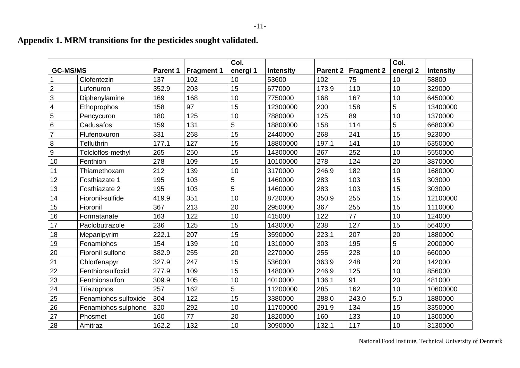|                 |                      |          |                   | Col.     |                  |                 |                   | Col.                |                  |
|-----------------|----------------------|----------|-------------------|----------|------------------|-----------------|-------------------|---------------------|------------------|
| <b>GC-MS/MS</b> |                      | Parent 1 | <b>Fragment 1</b> | energi 1 | <b>Intensity</b> | <b>Parent 2</b> | <b>Fragment 2</b> | energi <sub>2</sub> | <b>Intensity</b> |
|                 | Clofentezin          | 137      | 102               | 10       | 53600            | 102             | 75                | 10                  | 58800            |
| $\overline{2}$  | Lufenuron            | 352.9    | 203               | 15       | 677000           | 173.9           | 110               | 10                  | 329000           |
| 3               | Diphenylamine        | 169      | 168               | 10       | 7750000          | 168             | 167               | 10                  | 6450000          |
| 4               | Ethoprophos          | 158      | 97                | 15       | 12300000         | 200             | 158               | 5                   | 13400000         |
| 5               | Pencycuron           | 180      | 125               | 10       | 7880000          | 125             | 89                | 10                  | 1370000          |
| 6               | Cadusafos            | 159      | 131               | 5        | 18800000         | 158             | 114               | 5                   | 6680000          |
| $\overline{7}$  | Flufenoxuron         | 331      | 268               | 15       | 2440000          | 268             | 241               | 15                  | 923000           |
| 8               | Tefluthrin           | 177.1    | 127               | 15       | 18800000         | 197.1           | 141               | 10                  | 6350000          |
| 9               | Tolcloflos-methyl    | 265      | 250               | 15       | 14300000         | 267             | 252               | 10                  | 5550000          |
| 10              | Fenthion             | 278      | 109               | 15       | 10100000         | 278             | 124               | 20                  | 3870000          |
| 11              | Thiamethoxam         | 212      | 139               | 10       | 3170000          | 246.9           | 182               | 10                  | 1680000          |
| 12              | Fosthiazate 1        | 195      | 103               | 5        | 1460000          | 283             | 103               | 15                  | 303000           |
| 13              | Fosthiazate 2        | 195      | 103               | 5        | 1460000          | 283             | 103               | 15                  | 303000           |
| 14              | Fipronil-sulfide     | 419.9    | 351               | 10       | 8720000          | 350.9           | 255               | 15                  | 12100000         |
| 15              | Fipronil             | 367      | 213               | 20       | 2950000          | 367             | 255               | 15                  | 1110000          |
| 16              | Formatanate          | 163      | 122               | 10       | 415000           | 122             | 77                | 10                  | 124000           |
| 17              | Paclobutrazole       | 236      | 125               | 15       | 1430000          | 238             | 127               | 15                  | 564000           |
| 18              | Mepanipyrim          | 222.1    | 207               | 15       | 3590000          | 223.1           | 207               | 20                  | 1880000          |
| 19              | Fenamiphos           | 154      | 139               | 10       | 1310000          | 303             | 195               | 5                   | 2000000          |
| 20              | Fipronil sulfone     | 382.9    | 255               | 20       | 2270000          | 255             | 228               | 10                  | 660000           |
| 21              | Chlorfenapyr         | 327.9    | 247               | 15       | 536000           | 363.9           | 248               | 20                  | 142000           |
| 22              | Fenthionsulfoxid     | 277.9    | 109               | 15       | 1480000          | 246.9           | 125               | 10                  | 856000           |
| 23              | Fenthionsulfon       | 309.9    | 105               | 10       | 4010000          | 136.1           | 91                | 20                  | 481000           |
| 24              | Triazophos           | 257      | 162               | 5        | 11200000         | 285             | 162               | 10                  | 10600000         |
| 25              | Fenamiphos sulfoxide | 304      | 122               | 15       | 3380000          | 288.0           | 243.0             | 5.0                 | 1880000          |
| 26              | Fenamiphos sulphone  | 320      | 292               | 10       | 11700000         | 291.9           | 134               | 15                  | 3350000          |
| 27              | Phosmet              | 160      | 77                | 20       | 1820000          | 160             | 133               | 10                  | 1300000          |
| 28              | Amitraz              | 162.2    | 132               | 10       | 3090000          | 132.1           | 117               | 10                  | 3130000          |

# **Appendix 1. MRM transitions for the pesticides sought validated.**

<span id="page-10-1"></span><span id="page-10-0"></span>National Food Institute, Technical University of Denmark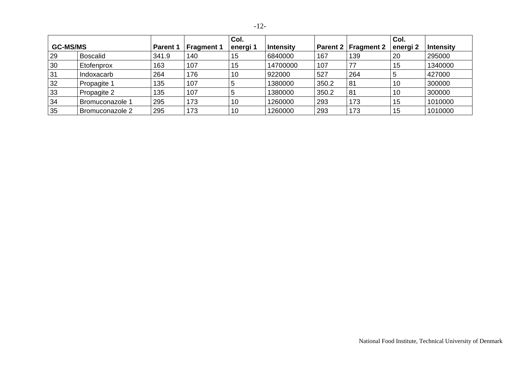|                 |                 |                 |                   | Col.     |                  |       |                       | Col.                |                  |
|-----------------|-----------------|-----------------|-------------------|----------|------------------|-------|-----------------------|---------------------|------------------|
| <b>GC-MS/MS</b> |                 | <b>Parent 1</b> | <b>Fragment 1</b> | energi 1 | <b>Intensity</b> |       | Parent 2   Fragment 2 | energi <sub>2</sub> | <b>Intensity</b> |
| 29              | Boscalid        | 341.9           | 140               | 15       | 6840000          | 167   | 139                   | 20                  | 295000           |
| 30              | Etofenprox      | 163             | 107               | 15       | 14700000         | 107   | 77                    | 15                  | 1340000          |
| 31              | Indoxacarb      | 264             | 176               | 10       | 922000           | 527   | 264                   |                     | 427000           |
| 32              | Propagite 1     | 135             | 107               | 5        | 1380000          | 350.2 | 81                    | 10                  | 300000           |
| 33              | Propagite 2     | 135             | 107               | C        | 1380000          | 350.2 | 81                    | 10                  | 300000           |
| 34              | Bromuconazole 1 | 295             | 173               | 10       | 1260000          | 293   | 173                   | 15                  | 1010000          |
| 35              | Bromuconazole 2 | 295             | 173               | 10       | 1260000          | 293   | 173                   | 15                  | 1010000          |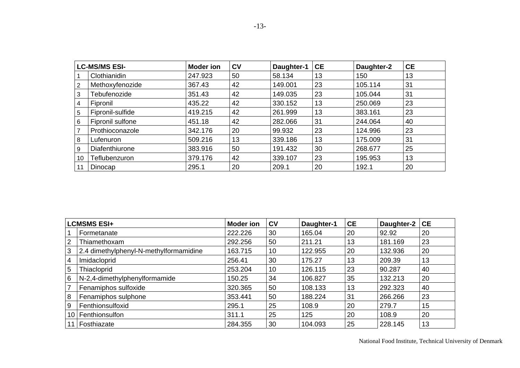| <b>LC-MS/MS ESI-</b> |                  | <b>Moder ion</b> | c <sub>v</sub> | Daughter-1 | <b>CE</b> | Daughter-2 | <b>CE</b> |
|----------------------|------------------|------------------|----------------|------------|-----------|------------|-----------|
|                      | Clothianidin     | 247.923          | 50             | 58.134     | 13        | 150        | 13        |
| $\overline{2}$       | Methoxyfenozide  | 367.43           | 42             | 149.001    | 23        | 105.114    | 31        |
| 3                    | Tebufenozide     | 351.43           | 42             | 149.035    | 23        | 105.044    | 31        |
| 4                    | Fipronil         | 435.22           | 42             | 330.152    | 13        | 250.069    | 23        |
| 5                    | Fipronil-sulfide | 419.215          | 42             | 261.999    | 13        | 383.161    | 23        |
| 6                    | Fipronil sulfone | 451.18           | 42             | 282.066    | 31        | 244.064    | 40        |
|                      | Prothioconazole  | 342.176          | 20             | 99.932     | 23        | 124.996    | 23        |
| 8                    | Lufenuron        | 509.216          | 13             | 339.186    | 13        | 175.009    | 31        |
| 9                    | Diafenthiurone   | 383.916          | 50             | 191.432    | 30        | 268.677    | 25        |
| 10                   | Teflubenzuron    | 379.176          | 42             | 339.107    | 23        | 195.953    | 13        |
| 11                   | Dinocap          | 295.1            | 20             | 209.1      | 20        | 192.1      | 20        |

|      | <b>LCMSMS ESI+</b>                     | <b>Moder</b> ion | c <sub>v</sub> | Daughter-1 | <b>CE</b> | Daughter-2 | <b>CE</b> |
|------|----------------------------------------|------------------|----------------|------------|-----------|------------|-----------|
|      | Formetanate                            | 222.226          | 30             | 165.04     | 20        | 92.92      | 20        |
| 2    | Thiamethoxam                           | 292.256          | 50             | 211.21     | 13        | 181.169    | 23        |
| 3    | 2.4 dimethylphenyl-N-methylformamidine | 163.715          | 10             | 122.955    | 20        | 132.936    | 20        |
| 4    | Imidacloprid                           | 256.41           | 30             | 175.27     | 13        | 209.39     | 13        |
| 5    | Thiacloprid                            | 253.204          | 10             | 126.115    | 23        | 90.287     | 40        |
| 6    | N-2,4-dimethylphenylformamide          | 150.25           | 34             | 106.827    | 35        | 132.213    | 20        |
|      | Fenamiphos sulfoxide                   | 320.365          | 50             | 108.133    | 13        | 292.323    | 40        |
| 8    | Fenamiphos sulphone                    | 353.441          | 50             | 188.224    | 31        | 266.266    | 23        |
| 9    | Fenthionsulfoxid                       | 295.1            | 25             | 108.9      | 20        | 279.7      | 15        |
| 10 I | Fenthionsulfon                         | 311.1            | 25             | 125        | 20        | 108.9      | 20        |
|      | Fosthiazate                            | 284.355          | 30             | 104.093    | 25        | 228.145    | 13        |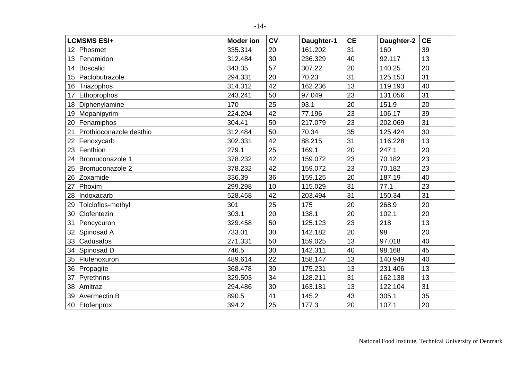|                  | <b>LCMSMS ESI+</b>      | <b>Moder</b> ion | <b>CV</b> | Daughter-1 | <b>CE</b> | Daughter-2 | <b>CE</b> |
|------------------|-------------------------|------------------|-----------|------------|-----------|------------|-----------|
| 12               | Phosmet                 | 335.314          | 20        | 161.202    | 31        | 160        | 39        |
| 13 <sup>°</sup>  | Fenamidon               | 312.484          | 30        | 236.329    | 40        | 92.117     | 13        |
| 14               | <b>Boscalid</b>         | 343.35           | 57        | 307.22     | 20        | 140.25     | 20        |
| 15 <sub>15</sub> | Paclobutrazole          | 294.331          | 20        | 70.23      | 31        | 125.153    | 31        |
| 16               | Triazophos              | 314.312          | 42        | 162.236    | 13        | 119.193    | 40        |
| 17               | Ethoprophos             | 243.241          | 50        | 97.049     | 23        | 131.056    | 31        |
| 18               | Diphenylamine           | 170              | 25        | 93.1       | 20        | 151.9      | 20        |
| 19               | Mepanipyrim             | 224.204          | 42        | 77.196     | 23        | 106.17     | 39        |
| 20               | Fenamiphos              | 304.41           | 50        | 217.079    | 23        | 202.069    | 31        |
| 21               | Prothioconazole desthio | 312.484          | 50        | 70.34      | 35        | 125.424    | 30        |
| 22               | Fenoxycarb              | 302.331          | 42        | 88.215     | 31        | 116.228    | 13        |
| 23               | Fenthion                | 279.1            | 25        | 169.1      | 20        | 247.1      | 20        |
| 24               | Bromuconazole 1         | 378.232          | 42        | 159.072    | 23        | 70.182     | 23        |
| 25               | Bromuconazole 2         | 378.232          | 42        | 159.072    | 23        | 70.182     | 23        |
| 26               | Zoxamide                | 336.39           | 36        | 159.125    | 20        | 187.19     | 40        |
| 27               | Phoxim                  | 299.298          | 10        | 115.029    | 31        | 77.1       | 23        |
| 28               | Indoxacarb              | 528.458          | 42        | 203.494    | 31        | 150.34     | 31        |
| 29               | Tolcloflos-methyl       | 301              | 25        | 175        | 20        | 268.9      | 20        |
| 30               | Clofentezin             | 303.1            | 20        | 138.1      | 20        | 102.1      | 20        |
| 31               | Pencycuron              | 329.458          | 50        | 125.123    | 23        | 218        | 13        |
| 32               | Spinosad A              | 733.01           | 30        | 142.182    | 20        | 98         | 20        |
| 33               | Cadusafos               | 271.331          | 50        | 159.025    | 13        | 97.018     | 40        |
| 34               | Spinosad D              | 746.5            | 30        | 142.311    | 40        | 98.168     | 45        |
| 35               | Flufenoxuron            | 489.614          | 22        | 158.147    | 13        | 140.949    | 40        |
|                  | 36 Propagite            | 368.478          | 30        | 175.231    | 13        | 231.406    | 13        |
| 37               | Pyrethrins              | 329.503          | 34        | 128.211    | 31        | 162.138    | 13        |
| 38               | Amitraz                 | 294.486          | 30        | 163.181    | 13        | 122.104    | 31        |
| 39               | Avermectin B            | 890.5            | 41        | 145.2      | 43        | 305.1      | 35        |
|                  | 40 Etofenprox           | 394.2            | 25        | 177.3      | 20        | 107.1      | 20        |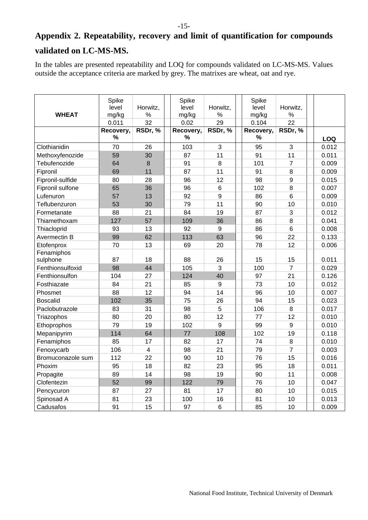# <span id="page-14-1"></span><span id="page-14-0"></span>**Appendix 2. Repeatability, recovery and limit of quantification for compounds validated on LC-MS-MS.**

-15-

In the tables are presented repeatability and LOQ for compounds validated on LC-MS-MS. Values outside the acceptance criteria are marked by grey. The matrixes are wheat, oat and rye.

| <b>WHEAT</b>      | Spike<br>level<br>mg/kg<br>0.011 | Horwitz.<br>$\%$<br>32 | Spike<br>level<br>mg/kg<br>0.02 | Horwitz,<br>$\%$<br>29 | Spike<br>level<br>mg/kg<br>0.104 | Horwitz,<br>$\%$<br>22 |       |
|-------------------|----------------------------------|------------------------|---------------------------------|------------------------|----------------------------------|------------------------|-------|
|                   | Recovery,                        | RSDr, %                | Recovery,                       | RSDr, %                | Recovery,                        | RSDr, %                |       |
|                   | $\%$                             |                        | %                               |                        | %                                |                        | LOQ   |
| Clothianidin      | 70                               | 26                     | 103                             | 3                      | 95                               | 3                      | 0.012 |
| Methoxyfenozide   | 59                               | 30                     | 87                              | 11                     | 91                               | 11                     | 0.011 |
| Tebufenozide      | 64                               | $\boldsymbol{8}$       | 91                              | 8                      | 101                              | $\overline{7}$         | 0.009 |
| Fipronil          | 69                               | 11                     | 87                              | 11                     | 91                               | 8                      | 0.009 |
| Fipronil-sulfide  | 80                               | 28                     | 96                              | 12                     | 98                               | 9                      | 0.015 |
| Fipronil sulfone  | 65                               | 36                     | 96                              | $\,6$                  | 102                              | 8                      | 0.007 |
| Lufenuron         | 57                               | 13                     | 92                              | $\mathsf g$            | 86                               | $6\phantom{1}$         | 0.009 |
| Teflubenzuron     | 53                               | 30                     | 79                              | 11                     | 90                               | 10                     | 0.010 |
| Formetanate       | 88                               | 21                     | 84                              | 19                     | 87                               | 3                      | 0.012 |
| Thiamethoxam      | 127                              | 57                     | 109                             | 36                     | 86                               | 8                      | 0.041 |
| Thiacloprid       | 93                               | 13                     | 92                              | 9                      | 86                               | 6                      | 0.008 |
| Avermectin B      | 99                               | 62                     | 113                             | 63                     | 96                               | 22                     | 0.133 |
| Etofenprox        | 70                               | 13                     | 69                              | 20                     | 78                               | 12                     | 0.006 |
| Fenamiphos        |                                  |                        |                                 |                        |                                  |                        |       |
| sulphone          | 87                               | 18                     | 88                              | 26                     | 15                               | 15                     | 0.011 |
| Fenthionsulfoxid  | 98                               | 44                     | 105                             | 3                      | 100                              | $\overline{7}$         | 0.029 |
| Fenthionsulfon    | 104                              | 27                     | 124                             | 40                     | 97                               | 21                     | 0.126 |
| Fosthiazate       | 84                               | 21                     | 85                              | 9                      | 73                               | 10                     | 0.012 |
| Phosmet           | 88                               | 12                     | 94                              | 14                     | 96                               | 10                     | 0.007 |
| <b>Boscalid</b>   | 102                              | 35                     | 75                              | 26                     | 94                               | 15                     | 0.023 |
| Paclobutrazole    | 83                               | 31                     | 98                              | 5                      | 106                              | 8                      | 0.017 |
| Triazophos        | 80                               | 20                     | 80                              | 12                     | 77                               | 12                     | 0.010 |
| Ethoprophos       | 79                               | 19                     | 102                             | 9                      | 99                               | 9                      | 0.010 |
| Mepanipyrim       | 114                              | 64                     | 77                              | 108                    | 102                              | 19                     | 0.118 |
| Fenamiphos        | 85                               | 17                     | 82                              | 17                     | 74                               | 8                      | 0.010 |
| Fenoxycarb        | 106                              | $\overline{4}$         | 98                              | 21                     | 79                               | $\overline{7}$         | 0.003 |
| Bromuconazole sum | 112                              | 22                     | 90                              | 10                     | 76                               | 15                     | 0.016 |
| Phoxim            | 95                               | 18                     | 82                              | 23                     | 95                               | 18                     | 0.011 |
| Propagite         | 89                               | 14                     | 98                              | 19                     | 90                               | 11                     | 0.008 |
| Clofentezin       | 52                               | 99                     | 122                             | 79                     | 76                               | 10                     | 0.047 |
| Pencycuron        | 87                               | 27                     | 81                              | 17                     | 80                               | 10                     | 0.015 |
| Spinosad A        | 81                               | 23                     | 100                             | 16                     | 81                               | 10                     | 0.013 |
| Cadusafos         | 91                               | 15                     | 97                              | $6\phantom{1}$         | 85                               | 10                     | 0.009 |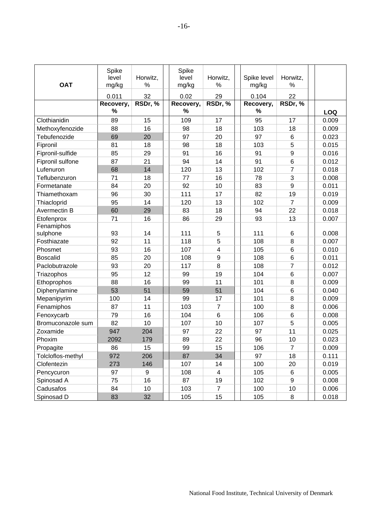| <b>OAT</b>        | Spike<br>level<br>mg/kg | Horwitz,<br>%    | Spike<br>level<br>mg/kg | Horwitz,<br>%  | Spike level<br>mg/kg | Horwitz,<br>%    |            |
|-------------------|-------------------------|------------------|-------------------------|----------------|----------------------|------------------|------------|
|                   | 0.011                   | 32               | 0.02                    | 29             | 0.104                | 22               |            |
|                   | Recovery,               | RSDr, %          | Recovery,               | RSDr, %        | Recovery,            | RSDr, %          |            |
|                   | %                       |                  | %                       |                | %                    |                  | <b>LOQ</b> |
| Clothianidin      | 89                      | 15               | 109                     | 17             | 95                   | 17               | 0.009      |
| Methoxyfenozide   | 88                      | 16               | 98                      | 18             | 103                  | 18               | 0.009      |
| Tebufenozide      | 69                      | 20               | 97                      | 20             | 97                   | 6                | 0.023      |
| Fipronil          | 81                      | 18               | 98                      | 18             | 103                  | 5                | 0.015      |
| Fipronil-sulfide  | 85                      | 29               | 91                      | 16             | 91                   | $\boldsymbol{9}$ | 0.016      |
| Fipronil sulfone  | 87                      | 21               | 94                      | 14             | 91                   | $6\phantom{1}6$  | 0.012      |
| Lufenuron         | 68                      | 14               | 120                     | 13             | 102                  | $\overline{7}$   | 0.018      |
| Teflubenzuron     | 71                      | 18               | 77                      | 16             | 78                   | 3                | 0.008      |
| Formetanate       | 84                      | 20               | 92                      | 10             | 83                   | 9                | 0.011      |
| Thiamethoxam      | 96                      | 30               | 111                     | 17             | 82                   | 19               | 0.019      |
| Thiacloprid       | 95                      | 14               | 120                     | 13             | 102                  | $\overline{7}$   | 0.009      |
| Avermectin B      | 60                      | 29               | 83                      | 18             | 94                   | 22               | 0.018      |
| Etofenprox        | 71                      | 16               | 86                      | 29             | 93                   | 13               | 0.007      |
| Fenamiphos        |                         |                  |                         |                |                      |                  |            |
| sulphone          | 93                      | 14               | 111                     | 5              | 111                  | 6                | 0.008      |
| Fosthiazate       | 92                      | 11               | 118                     | 5              | 108                  | 8                | 0.007      |
| Phosmet           | 93                      | 16               | 107                     | 4              | 105                  | 6                | 0.010      |
| <b>Boscalid</b>   | 85                      | 20               | 108                     | 9              | 108                  | $6\phantom{1}6$  | 0.011      |
| Paclobutrazole    | 93                      | 20               | 117                     | 8              | 108                  | $\overline{7}$   | 0.012      |
| Triazophos        | 95                      | 12               | 99                      | 19             | 104                  | 6                | 0.007      |
| Ethoprophos       | 88                      | 16               | 99                      | 11             | 101                  | 8                | 0.009      |
| Diphenylamine     | 53                      | 51               | 59                      | 51             | 104                  | $6\phantom{1}6$  | 0.040      |
| Mepanipyrim       | 100                     | 14               | 99                      | 17             | 101                  | 8                | 0.009      |
| Fenamiphos        | 87                      | 11               | 103                     | 7              | 100                  | 8                | 0.006      |
| Fenoxycarb        | 79                      | 16               | 104                     | 6              | 106                  | $\,6$            | 0.008      |
| Bromuconazole sum | 82                      | 10               | 107                     | 10             | 107                  | 5                | 0.005      |
| Zoxamide          | 947                     | 204              | 97                      | 22             | 97                   | 11               | 0.025      |
| Phoxim            | 2092                    | 179              | 89                      | 22             | 96                   | 10               | 0.023      |
| Propagite         | 86                      | 15               | 99                      | 15             | 106                  | $\overline{7}$   | 0.009      |
| Tolcloflos-methyl | 972                     | 206              | 87                      | 34             | 97                   | 18               | 0.111      |
| Clofentezin       | 273                     | 146              | 107                     | 14             | 100                  | 20               | 0.019      |
| Pencycuron        | 97                      | $\boldsymbol{9}$ | 108                     | 4              | 105                  | 6                | 0.005      |
| Spinosad A        | 75                      | 16               | 87                      | 19             | 102                  | 9                | 0.008      |
| Cadusafos         | 84                      | 10               | 103                     | $\overline{7}$ | 100                  | 10               | 0.006      |
| Spinosad D        | 83                      | 32               | 105                     | 15             | 105                  | 8                | 0.018      |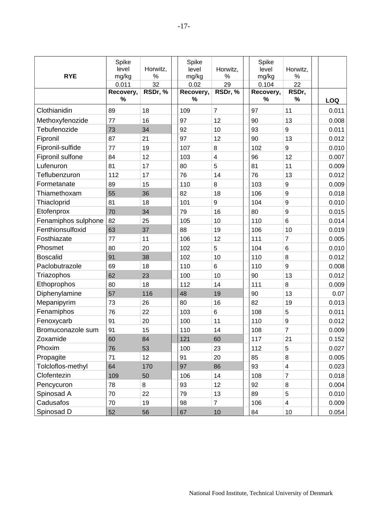| <b>RYE</b>          | Spike<br>level<br>mg/kg | Horwitz,<br>$\%$ | Spike<br>level<br>mg/kg | Horwitz,<br>%           | Spike<br>level<br>mg/kg | Horwitz,<br>%           |            |
|---------------------|-------------------------|------------------|-------------------------|-------------------------|-------------------------|-------------------------|------------|
|                     | 0.011                   | 32               | 0.02                    | 29                      | 0.104                   | 22                      |            |
|                     | Recovery,<br>%          | RSDr, %          | Recovery,<br>$\%$       | RSDr, %                 | Recovery,<br>%          | RSDr,<br>%              | <b>LOQ</b> |
| Clothianidin        | 89                      | 18               | 109                     | $\overline{7}$          | 97                      | 11                      | 0.011      |
| Methoxyfenozide     | 77                      | 16               | 97                      | 12                      | 90                      | 13                      | 0.008      |
| Tebufenozide        | 73                      | 34               | 92                      | 10                      | 93                      | 9                       | 0.011      |
| Fipronil            | 87                      | 21               | 97                      | 12                      | 90                      | 13                      | 0.012      |
| Fipronil-sulfide    | 77                      | 19               | 107                     | 8                       | 102                     | 9                       | 0.010      |
| Fipronil sulfone    | 84                      | 12               | 103                     | $\overline{\mathbf{4}}$ | 96                      | 12                      | 0.007      |
| Lufenuron           | 81                      | 17               | 80                      | 5                       | 81                      | 11                      | 0.009      |
| Teflubenzuron       | 112                     | 17               | 76                      | 14                      | 76                      | 13                      | 0.012      |
| Formetanate         | 89                      | 15               | 110                     | 8                       | 103                     | $9\,$                   | 0.009      |
| Thiamethoxam        | 55                      | 36               | 82                      | 18                      | 106                     | $\boldsymbol{9}$        | 0.018      |
| Thiacloprid         | 81                      | 18               | 101                     | $\boldsymbol{9}$        | 104                     | $\boldsymbol{9}$        | 0.010      |
| Etofenprox          | 70                      | 34               | 79                      | 16                      | 80                      | $\boldsymbol{9}$        | 0.015      |
| Fenamiphos sulphone | 82                      | 25               | 105                     | 10                      | 110                     | $6\phantom{1}6$         | 0.014      |
| Fenthionsulfoxid    | 63                      | 37               | 88                      | 19                      | 106                     | 10                      | 0.019      |
| Fosthiazate         | 77                      | 11               | 106                     | 12                      | 111                     | $\overline{7}$          | 0.005      |
| Phosmet             | 80                      | 20               | 102                     | 5                       | 104                     | 6                       | 0.010      |
| <b>Boscalid</b>     | 91                      | 38               | 102                     | 10                      | 110                     | 8                       | 0.012      |
| Paclobutrazole      | 69                      | 18               | 110                     | 6                       | 110                     | $\boldsymbol{9}$        | 0.008      |
| Triazophos          | 62                      | 23               | 100                     | 10                      | 90                      | 13                      | 0.012      |
| Ethoprophos         | 80                      | 18               | 112                     | 14                      | 111                     | 8                       | 0.009      |
| Diphenylamine       | 57                      | 116              | 48                      | 19                      | 90                      | 13                      | 0.07       |
| Mepanipyrim         | 73                      | 26               | 80                      | 16                      | 82                      | 19                      | 0.013      |
| Fenamiphos          | 76                      | 22               | 103                     | 6                       | 108                     | 5                       | 0.011      |
| Fenoxycarb          | 91                      | 20               | 100                     | 11                      | 110                     | $\boldsymbol{9}$        | 0.012      |
| Bromuconazole sum   | 91                      | 15               | 110                     | 14                      | 108                     | 7                       | 0.009      |
| Zoxamide            | 60                      | 84               | 121                     | 60                      | 117                     | 21                      | 0.152      |
| Phoxim              | 76                      | 53               | 100                     | 23                      | 112                     | 5                       | 0.027      |
| Propagite           | 71                      | 12               | 91                      | 20                      | 85                      | $\bf 8$                 | 0.005      |
| Tolcloflos-methyl   | 64                      | 170              | 97                      | 86                      | 93                      | $\overline{\mathbf{4}}$ | 0.023      |
| Clofentezin         | 109                     | 50               | 106                     | 14                      | 108                     | $\overline{7}$          | 0.018      |
| Pencycuron          | 78                      | 8                | 93                      | 12                      | 92                      | $\bf 8$                 | 0.004      |
| Spinosad A          | 70                      | 22               | 79                      | 13                      | 89                      | $\sqrt{5}$              | 0.010      |
| Cadusafos           | 70                      | 19               | 98                      | $\overline{7}$          | 106                     | $\overline{\mathbf{4}}$ | 0.009      |
| Spinosad D          | 52                      | 56               | 67                      | 10                      | 84                      | 10                      | 0.054      |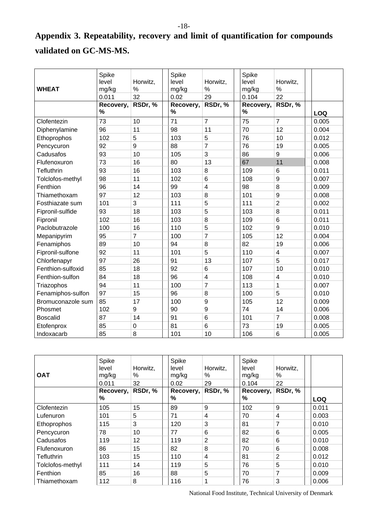# <span id="page-17-1"></span><span id="page-17-0"></span>**Appendix 3. Repeatability, recovery and limit of quantification for compounds validated on GC-MS-MS.**

| <b>WHEAT</b>      | Spike<br>level<br>mg/kg<br>0.011 | Horwitz,<br>%<br>32 | Spike<br>level<br>mg/kg<br>0.02 | Horwitz,<br>%<br>29     | Spike<br>level<br>mg/kg<br>0.104 | Horwitz,<br>%<br>22     |       |
|-------------------|----------------------------------|---------------------|---------------------------------|-------------------------|----------------------------------|-------------------------|-------|
|                   | Recovery,<br>$\%$                | RSDr, %             | Recovery,<br>$\%$               | RSDr, %                 | Recovery,<br>$\%$                | RSDr, %                 | LOQ   |
| Clofentezin       | 73                               | 10                  | 71                              | $\overline{7}$          | 75                               | $\overline{7}$          | 0.005 |
| Diphenylamine     | 96                               | 11                  | 98                              | 11                      | 70                               | 12                      | 0.004 |
| Ethoprophos       | 102                              | 5                   | 103                             | 5                       | 76                               | 10                      | 0.012 |
| Pencycuron        | 92                               | 9                   | 88                              | $\overline{7}$          | 76                               | 19                      | 0.005 |
| Cadusafos         | 93                               | 10                  | 105                             | 3                       | 86                               | 9                       | 0.006 |
| Flufenoxuron      | 73                               | 16                  | 80                              | 13                      | 67                               | 11                      | 0.008 |
| <b>Tefluthrin</b> | 93                               | 16                  | 103                             | 8                       | 109                              | $6\phantom{1}$          | 0.011 |
| Tolclofos-methyl  | 98                               | 11                  | 102                             | 6                       | 108                              | 9                       | 0.007 |
| Fenthion          | 96                               | 14                  | 99                              | $\overline{\mathbf{4}}$ | 98                               | 8                       | 0.009 |
| Thiamethoxam      | 97                               | 12                  | 103                             | 8                       | 101                              | 9                       | 0.008 |
| Fosthiazate sum   | 101                              | 3                   | 111                             | 5                       | 111                              | $\overline{2}$          | 0.002 |
| Fipronil-sulfide  | 93                               | 18                  | 103                             | 5                       | 103                              | 8                       | 0.011 |
| Fipronil          | 102                              | 16                  | 103                             | 8                       | 109                              | $6\phantom{1}6$         | 0.011 |
| Paclobutrazole    | 100                              | 16                  | 110                             | 5                       | 102                              | 9                       | 0.010 |
| Mepanipyrim       | 95                               | $\overline{7}$      | 100                             | $\overline{7}$          | 105                              | 12                      | 0.004 |
| Fenamiphos        | 89                               | 10                  | 94                              | 8                       | 82                               | 19                      | 0.006 |
| Fipronil-sulfone  | 92                               | 11                  | 101                             | 5                       | 110                              | $\overline{\mathbf{4}}$ | 0.007 |
| Chlorfenapyr      | 97                               | 26                  | 91                              | 13                      | 107                              | 5                       | 0.017 |
| Fenthion-sulfoxid | 85                               | 18                  | 92                              | 6                       | 107                              | 10                      | 0.010 |
| Fenthion-sulfon   | 84                               | 18                  | 96                              | 4                       | 108                              | $\overline{\mathbf{4}}$ | 0.010 |
| Triazophos        | 94                               | 11                  | 100                             | $\overline{7}$          | 113                              | $\mathbf{1}$            | 0.007 |
| Fenamiphos-sulfon | 97                               | 15                  | 96                              | 8                       | 100                              | 5                       | 0.010 |
| Bromuconazole sum | 85                               | 17                  | 100                             | 9                       | 105                              | 12                      | 0.009 |
| Phosmet           | 102                              | 9                   | 90                              | 9                       | 74                               | 14                      | 0.006 |
| <b>Boscalid</b>   | 87                               | 14                  | 91                              | 6                       | 101                              | $\overline{7}$          | 0.008 |
| Etofenprox        | 85                               | $\pmb{0}$           | 81                              | 6                       | 73                               | 19                      | 0.005 |
| Indoxacarb        | 85                               | 8                   | 101                             | 10                      | 106                              | $\,6$                   | 0.005 |

| <b>OAT</b>       | Spike<br>level<br>mg/kg<br>0.011 | Horwitz,<br>℅<br>32 | Spike<br>level<br>mg/kg<br>0.02 | Horwitz,<br>%<br>29 | Spike<br>level<br>mg/kg<br>0.104 | Horwitz,<br>℅<br>22 |            |
|------------------|----------------------------------|---------------------|---------------------------------|---------------------|----------------------------------|---------------------|------------|
|                  | Recovery,<br>%                   | RSDr, %             | Recovery,<br>%                  | RSDr, %             | Recovery,<br>%                   | RSDr, %             | <b>LOQ</b> |
| Clofentezin      | 105                              | 15                  | 89                              | 9                   | 102                              | 9                   | 0.011      |
| Lufenuron        | 101                              | 5                   | 71                              | 4                   | 70                               | 4                   | 0.003      |
| Ethoprophos      | 115                              | 3                   | 120                             | 3                   | 81                               | 7                   | 0.010      |
| Pencycuron       | 78                               | 10                  | 77                              | 6                   | 82                               | 6                   | 0.005      |
| Cadusafos        | 119                              | 12                  | 119                             | $\overline{2}$      | 82                               | 6                   | 0.010      |
| Flufenoxuron     | 86                               | 15                  | 82                              | 8                   | 70                               | 6                   | 0.008      |
| Tefluthrin       | 103                              | 15                  | 110                             | 4                   | 81                               | 2                   | 0.012      |
| Tolclofos-methyl | 111                              | 14                  | 119                             | 5                   | 76                               | 5                   | 0.010      |
| Fenthion         | 85                               | 16                  | 88                              | 5                   | 70                               | 7                   | 0.009      |
| Thiamethoxam     | 112                              | 8                   | 116                             | 1                   | 76                               | 3                   | 0.006      |

National Food Institute, Technical University of Denmark